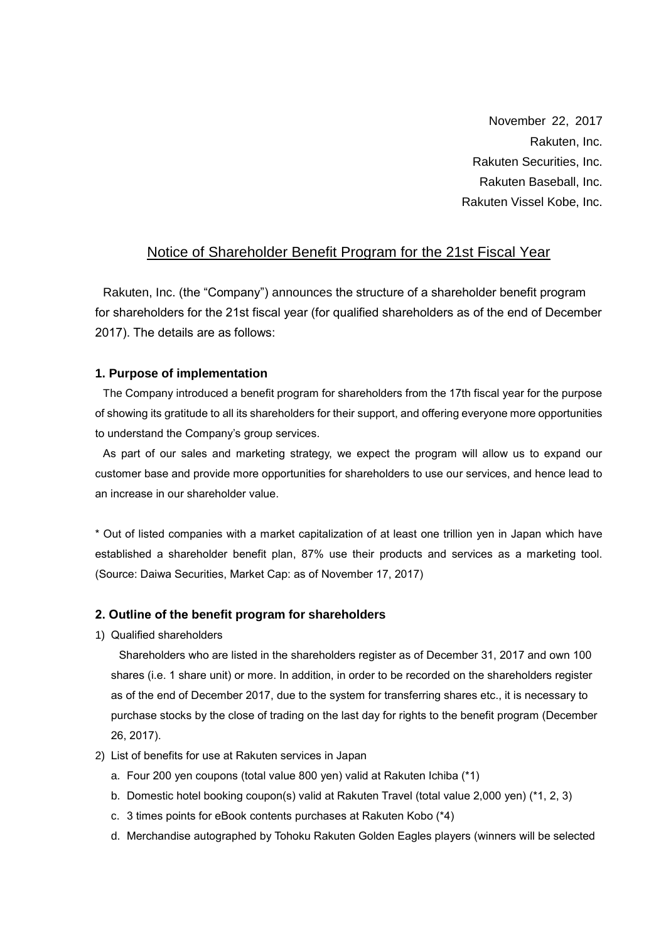November 22, 2017 Rakuten, Inc. Rakuten Securities, Inc. Rakuten Baseball, Inc. Rakuten Vissel Kobe, Inc.

## Notice of Shareholder Benefit Program for the 21st Fiscal Year

Rakuten, Inc. (the "Company") announces the structure of a shareholder benefit program for shareholders for the 21st fiscal year (for qualified shareholders as of the end of December 2017). The details are as follows:

## **1. Purpose of implementation**

The Company introduced a benefit program for shareholders from the 17th fiscal year for the purpose of showing its gratitude to all its shareholders for their support, and offering everyone more opportunities to understand the Company's group services.

As part of our sales and marketing strategy, we expect the program will allow us to expand our customer base and provide more opportunities for shareholders to use our services, and hence lead to an increase in our shareholder value.

\* Out of listed companies with a market capitalization of at least one trillion yen in Japan which have established a shareholder benefit plan, 87% use their products and services as a marketing tool. (Source: Daiwa Securities, Market Cap: as of November 17, 2017)

## **2. Outline of the benefit program for shareholders**

1) Qualified shareholders

Shareholders who are listed in the shareholders register as of December 31, 2017 and own 100 shares (i.e. 1 share unit) or more. In addition, in order to be recorded on the shareholders register as of the end of December 2017, due to the system for transferring shares etc., it is necessary to purchase stocks by the close of trading on the last day for rights to the benefit program (December 26, 2017).

- 2) List of benefits for use at Rakuten services in Japan
	- a. Four 200 yen coupons (total value 800 yen) valid at Rakuten Ichiba (\*1)
	- b. Domestic hotel booking coupon(s) valid at Rakuten Travel (total value 2,000 yen) (\*1, 2, 3)
	- c. 3 times points for eBook contents purchases at Rakuten Kobo (\*4)
	- d. Merchandise autographed by Tohoku Rakuten Golden Eagles players (winners will be selected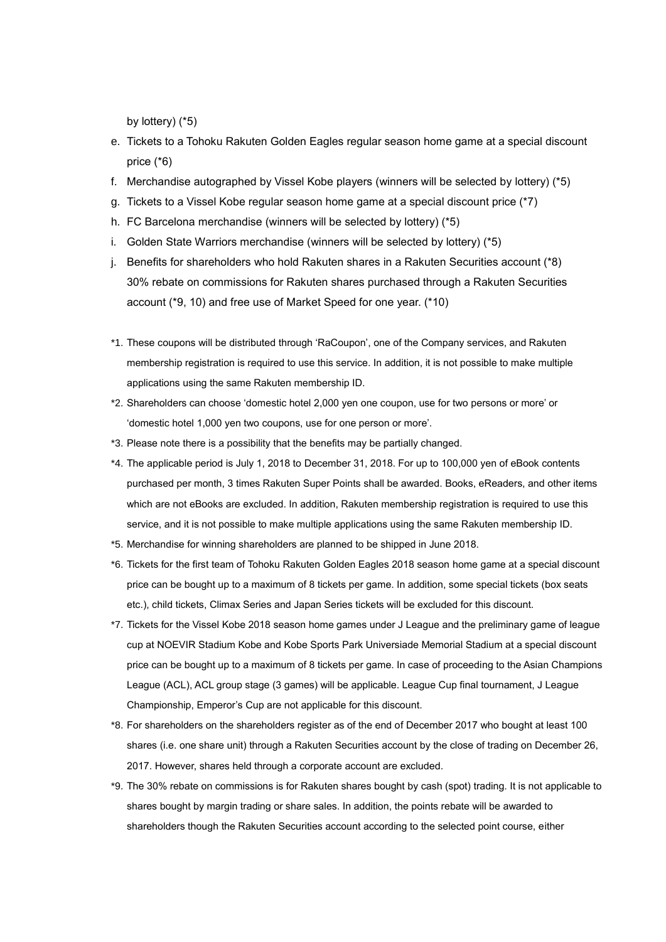by lottery) (\*5)

- e. Tickets to a Tohoku Rakuten Golden Eagles regular season home game at a special discount price (\*6)
- f. Merchandise autographed by Vissel Kobe players (winners will be selected by lottery) (\*5)
- g. Tickets to a Vissel Kobe regular season home game at a special discount price (\*7)
- h. FC Barcelona merchandise (winners will be selected by lottery) (\*5)
- i. Golden State Warriors merchandise (winners will be selected by lottery) (\*5)
- j. Benefits for shareholders who hold Rakuten shares in a Rakuten Securities account (\*8) 30% rebate on commissions for Rakuten shares purchased through a Rakuten Securities account (\*9, 10) and free use of Market Speed for one year. (\*10)
- \*1. These coupons will be distributed through 'RaCoupon', one of the Company services, and Rakuten membership registration is required to use this service. In addition, it is not possible to make multiple applications using the same Rakuten membership ID.
- \*2. Shareholders can choose 'domestic hotel 2,000 yen one coupon, use for two persons or more' or 'domestic hotel 1,000 yen two coupons, use for one person or more'.
- \*3. Please note there is a possibility that the benefits may be partially changed.
- \*4. The applicable period is July 1, 2018 to December 31, 2018. For up to 100,000 yen of eBook contents purchased per month, 3 times Rakuten Super Points shall be awarded. Books, eReaders, and other items which are not eBooks are excluded. In addition, Rakuten membership registration is required to use this service, and it is not possible to make multiple applications using the same Rakuten membership ID.
- \*5. Merchandise for winning shareholders are planned to be shipped in June 2018.
- \*6. Tickets for the first team of Tohoku Rakuten Golden Eagles 2018 season home game at a special discount price can be bought up to a maximum of 8 tickets per game. In addition, some special tickets (box seats etc.), child tickets, Climax Series and Japan Series tickets will be excluded for this discount.
- \*7. Tickets for the Vissel Kobe 2018 season home games under J League and the preliminary game of league cup at NOEVIR Stadium Kobe and Kobe Sports Park Universiade Memorial Stadium at a special discount price can be bought up to a maximum of 8 tickets per game. In case of proceeding to the Asian Champions League (ACL), ACL group stage (3 games) will be applicable. League Cup final tournament, J League Championship, Emperor's Cup are not applicable for this discount.
- \*8. For shareholders on the shareholders register as of the end of December 2017 who bought at least 100 shares (i.e. one share unit) through a Rakuten Securities account by the close of trading on December 26, 2017. However, shares held through a corporate account are excluded.
- \*9. The 30% rebate on commissions is for Rakuten shares bought by cash (spot) trading. It is not applicable to shares bought by margin trading or share sales. In addition, the points rebate will be awarded to shareholders though the Rakuten Securities account according to the selected point course, either